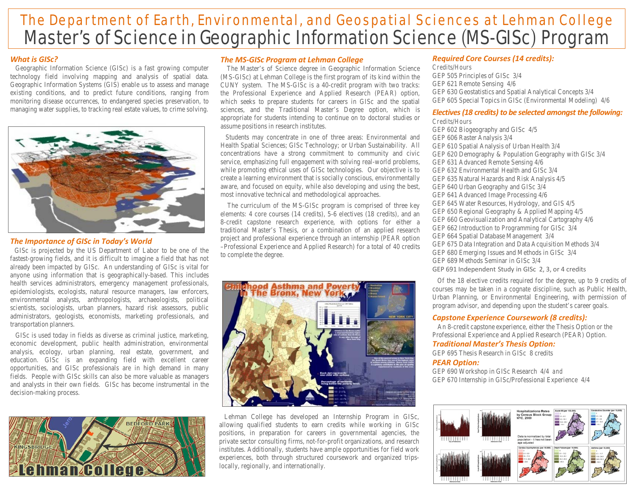# Master's of Science in Geographic Information Science (MS-GISc) Program The Department of Earth, Environmental, and Geospatial Sciences at Lehman College

## *What is GISc?*

 Geographic Information Science (GISc) is a fast growing computer technology field involving mapping and analysis of spatial data. Geographic Information Systems (GIS) enable us to assess and manage existing conditions, and to predict future conditions, ranging from monitoring disease occurrences, to endangered species preservation, to managing water supplies, to tracking real estate values, to crime solving.



#### *The Importance of GISc in Today's World*

 GISc is projected by the US Department of Labor to be one of the fastest-growing fields, and it is difficult to imagine a field that has not already been impacted by GISc. An understanding of GISc is vital for anyone using information that is geographically-based. This includes health services administrators, emergency management professionals, epidemiologists, ecologists, natural resource managers, law enforcers, environmental analysts, anthropologists, archaeologists, political scientists, sociologists, urban planners, hazard risk assessors, public administrators, geologists, economists, marketing professionals, and transportation planners.

 GISc is used today in fields as diverse as criminal justice, marketing, economic development, public health administration, environmental analysis, ecology, urban planning, real estate, government, and education. GISc is an expanding field with excellent career opportunities, and GISc professionals are in high demand in many fields. People with GISc skills can also be more valuable as managers and analysts in their own fields. GISc has become instrumental in the decision-making process.



#### *The MS-GISc Program at Lehman College*

 The Master's of Science degree in Geographic Information Science (MS-GISc) at Lehman College is the first program of its kind within the CUNY system.The MS-GISc is a 40-credit program with two tracks: the Professional Experience and Applied Research (PEAR) option, which seeks to prepare students for careers in GISc and the spatial sciences, and the Traditional Master's Degree option, which is appropriate for students intending to continue on to doctoral studies or assume positions in research institutes.

 Students may concentrate in one of three areas: Environmental and Health Spatial Sciences; GISc Technology; or Urban Sustainability. All concentrations have a strong commitment to community and civic service, emphasizing full engagement with solving real-world problems, while promoting ethical uses of GISc technologies. Our objective is to create a learning environment that is socially conscious, environmentally aware, and focused on equity, while also developing and using the best, most innovative technical and methodological approaches.

 The curriculum of the MS-GISc program is comprised of three key elements: 4 core courses (14 credits), 5-6 electives (18 credits), and an 8-credit capstone research experience, with options for either a traditional Master's Thesis, or a combination of an applied research project and professional experience through an internship (PEAR option –Professional Experience and Applied Research) for a total of 40 credits to complete the degree.



 Lehman College has developed an Internship Program in GISc, allowing qualified students to earn credits while working in GISc positions, in preparation for careers in governmental agencies, the private sector consulting firms, not-for-profit organizations, and research institutes. Additionally, students have ample opportunities for field work experiences, both through structured coursework and organized tripslocally, regionally, and internationally.

#### *Required Core Courses (14 credits):*

*Credits/Hours* GEP 505 Principles of GISc 3/4 GEP 621 Remote Sensing 4/6 GEP 630 Geostatistics and Spatial Analytical Concepts 3/4 GEP 605 Special Topics in GISc (Environmental Modeling) 4/6

# *Electives (18 credits) to be selected amongst the following:*

*Credits/Hours* GEP 602 Biogeography and GISc 4/5 GEP 606 Raster Analysis 3/4 GEP 610 Spatial Analysis of Urban Health 3/4 GEP 620 Demography & Population Geography with GISc 3/4 GEP 631 Advanced Remote Sensing 4/6 GEP 632 Environmental Health and GISc 3/4 GEP 635 Natural Hazards and Risk Analysis 4/5 GEP 640 Urban Geography and GISc 3/4 GEP 641 Advanced Image Processing 4/6 GEP 645 Water Resources, Hydrology, and GIS 4/5 GEP 650 Regional Geography & Applied Mapping 4/5 GEP 660 Geovisualization and Analytical Cartography 4/6 GEP 662 Introduction to Programming for GISc 3/4 GEP 664 Spatial Database Management 3/4 GEP 675 Data Integration and Data Acquisition Methods 3/4 GEP 680 Emerging Issues and Methods in GISc 3/4 GEP 689 Methods Seminar in GISc 3/4 GEP 691 Independent Study in GISc 2, 3, or 4 credits

 Of the 18 elective credits required for the degree, up to 9 credits of courses may be taken in a cognate discipline, such as Public Health, Urban Planning, or Environmental Engineering, with permission of program advisor, and depending upon the student's career goals.

### *Capstone Experience Coursework (8 credits):*

 An 8-credit capstone experience, either the Thesis Option or the Professional Experience and Applied Research (PEAR) Option.

## *Traditional Master's Thesis Option:*

GEP 695 Thesis Research in GISc 8 credits *PEAR Option:*

GEP 690 Workshop in GISc Research 4/4 *and* GEP 670 Internship in GISc/Professional Experience 4/4